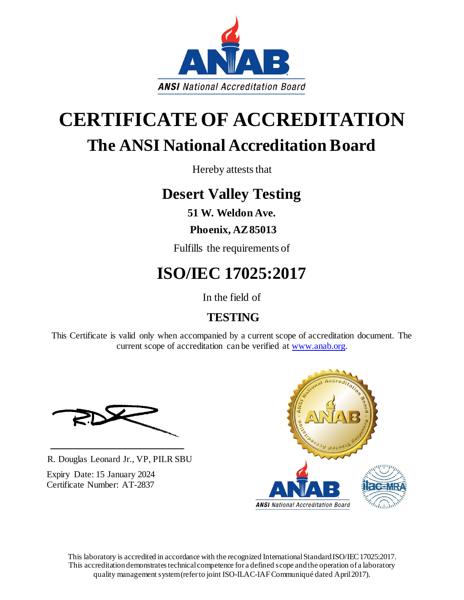

# **CERTIFICATEOF ACCREDITATION The ANSI National Accreditation Board**

Hereby attests that

## **Desert Valley Testing**

**51 W. Weldon Ave.**

## **Phoenix, AZ 85013**

Fulfills the requirements of

## **ISO/IEC 17025:2017**

In the field of

## **TESTING**

This Certificate is valid only when accompanied by a current scope of accreditation document. The current scope of accreditation can be verified at www.anab.org.

R. Douglas Leonard Jr., VP, PILR SBU

Expiry Date: 15 January 2024 Certificate Number: AT-2837



This laboratory is accredited in accordance with the recognized International Standard ISO/IEC 17025:2017. This accreditation demonstrates technical competence for a defined scope and the operation of a laboratory quality management system (refer to joint ISO-ILAC-IAF Communiqué dated April 2017).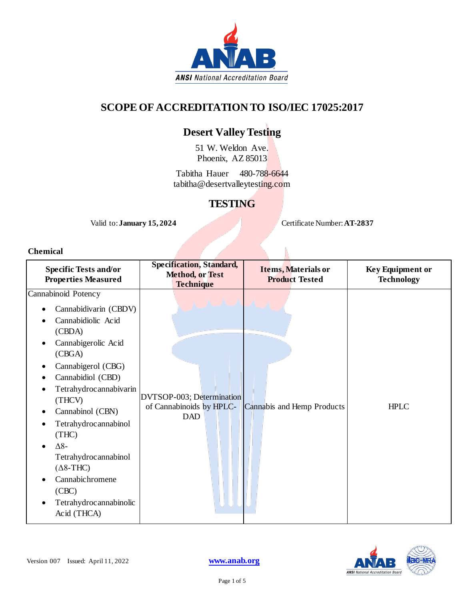

### **SCOPE OF ACCREDITATION TO ISO/IEC 17025:2017**

## **Desert Valley Testing**

51 W. Weldon Ave. Phoenix, AZ 85013

Tabitha Hauer 480-788-6644 tabitha@desertvalleytesting.com

## **TESTING**

Valid to: **January 15, 2024** Certificate Number: **AT-2837**

#### **Chemical**

| <b>Specific Tests and/or</b><br><b>Properties Measured</b>                                                                                                                                                                                                                                                                                                                         | <b>Specification, Standard,</b><br><b>Method, or Test</b><br><b>Technique</b> | Items, Materials or<br><b>Product Tested</b> | <b>Key Equipment or</b><br><b>Technology</b> |
|------------------------------------------------------------------------------------------------------------------------------------------------------------------------------------------------------------------------------------------------------------------------------------------------------------------------------------------------------------------------------------|-------------------------------------------------------------------------------|----------------------------------------------|----------------------------------------------|
| Cannabinoid Potency<br>Cannabidivarin (CBDV)<br>Cannabidiolic Acid<br>(CBDA)<br>Cannabigerolic Acid<br>(CBGA)<br>Cannabigerol (CBG)<br>Cannabidiol (CBD)<br>Tetrahydrocannabivarin<br>(THCV)<br>Cannabinol (CBN)<br>Tetrahydrocannabinol<br>(THC)<br>$\Delta 8-$<br>Tetrahydrocannabinol<br>$(\Delta 8$ -THC)<br>Cannabichromene<br>(CBC)<br>Tetrahydrocannabinolic<br>Acid (THCA) | DVTSOP-003; Determination<br>of Cannabinoids by HPLC-<br><b>DAD</b>           | Cannabis and Hemp Products                   | <b>HPLC</b>                                  |

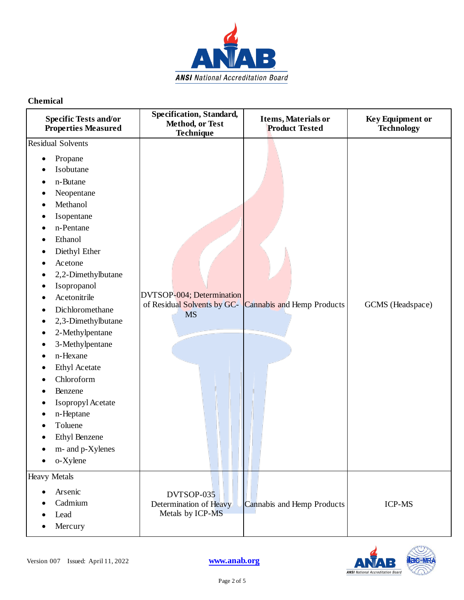

| <b>Specific Tests and/or</b><br><b>Properties Measured</b>                                                                                                                                                                                                                                                                                                                                                                                                               | Specification, Standard,<br>Method, or Test<br>Technique              | Items, Materials or<br><b>Product Tested</b> | <b>Key Equipment or</b><br><b>Technology</b> |
|--------------------------------------------------------------------------------------------------------------------------------------------------------------------------------------------------------------------------------------------------------------------------------------------------------------------------------------------------------------------------------------------------------------------------------------------------------------------------|-----------------------------------------------------------------------|----------------------------------------------|----------------------------------------------|
| <b>Residual Solvents</b><br>Propane<br>٠<br>Isobutane<br>n-Butane<br>Neopentane<br>Methanol<br>Isopentane<br>n-Pentane<br>Ethanol<br>Diethyl Ether<br>Acetone<br>2,2-Dimethylbutane<br>Isopropanol<br>Acetonitrile<br>Dichloromethane<br>2,3-Dimethylbutane<br>2-Methylpentane<br>3-Methylpentane<br>٠<br>n-Hexane<br><b>Ethyl Acetate</b><br>Chloroform<br>Benzene<br>Isopropyl Acetate<br>n-Heptane<br>Toluene<br><b>Ethyl Benzene</b><br>m- and p-Xylenes<br>o-Xylene | DVTSOP-004; Determination<br>of Residual Solvents by GC-<br><b>MS</b> | <b>Cannabis and Hemp Products</b>            | GCMS (Headspace)                             |
| <b>Heavy Metals</b><br>Arsenic<br>$\bullet$<br>Cadmium<br>Lead<br>Mercury                                                                                                                                                                                                                                                                                                                                                                                                | DVTSOP-035<br>Determination of Heavy<br>Metals by ICP-MS              | Cannabis and Hemp Products                   | <b>ICP-MS</b>                                |

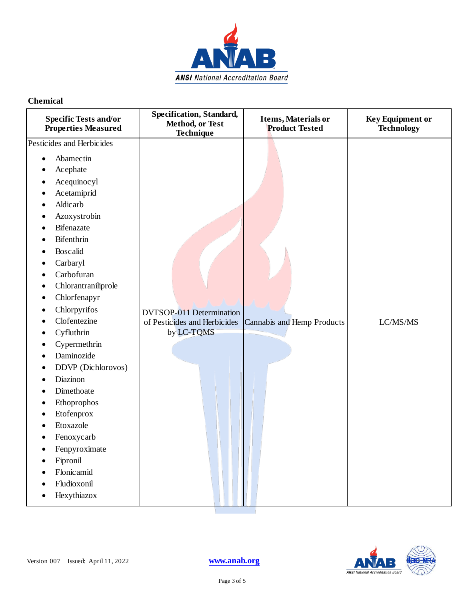

| <b>Specific Tests and/or</b><br><b>Properties Measured</b>                                                                                                                                                                                                                                                                                                                                                                                                                                                                                                                                                                               | <b>Specification, Standard,</b><br>Method, or Test<br>Technique               | Items, Materials or<br><b>Product Tested</b> | <b>Key Equipment or</b><br><b>Technology</b> |
|------------------------------------------------------------------------------------------------------------------------------------------------------------------------------------------------------------------------------------------------------------------------------------------------------------------------------------------------------------------------------------------------------------------------------------------------------------------------------------------------------------------------------------------------------------------------------------------------------------------------------------------|-------------------------------------------------------------------------------|----------------------------------------------|----------------------------------------------|
| Pesticides and Herbicides<br>Abamectin<br>$\bullet$<br>Acephate<br>Acequinocyl<br>Acetamiprid<br>Aldicarb<br>Azoxystrobin<br><b>Bifenazate</b><br>$\bullet$<br>Bifenthrin<br>$\bullet$<br>Boscalid<br>Carbaryl<br>Carbofuran<br>Chlorantraniliprole<br>$\bullet$<br>Chlorfenapyr<br>$\bullet$<br>Chlorpyrifos<br>$\bullet$<br>Clofentezine<br>٠<br>Cyfluthrin<br>۰<br>Cypermethrin<br>$\bullet$<br>Daminozide<br>DDVP (Dichlorovos)<br>Diazinon<br>Dimethoate<br>Ethoprophos<br>$\bullet$<br>Etofenprox<br>$\bullet$<br>Etoxazole<br>Fenoxycarb<br>٠<br>Fenpyroximate<br>$\bullet$<br>Fipronil<br>$\bullet$<br>Flonicamid<br>Fludioxonil | <b>DVTSOP-011 Determination</b><br>of Pesticides and Herbicides<br>by LC-TQMS | Cannabis and Hemp Products                   | LC/MS/MS                                     |
| Hexythiazox                                                                                                                                                                                                                                                                                                                                                                                                                                                                                                                                                                                                                              |                                                                               |                                              |                                              |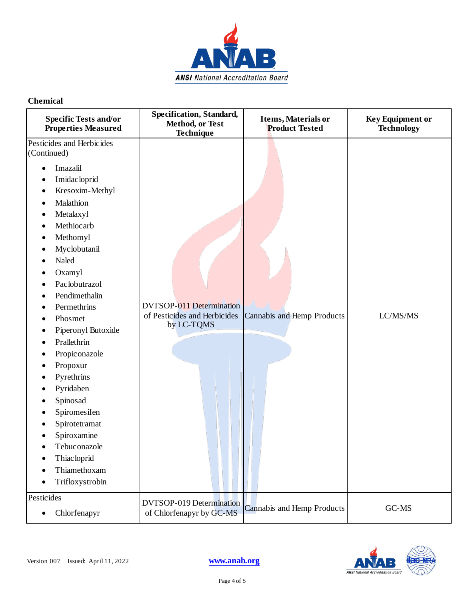

| <b>Specific Tests and/or</b><br><b>Properties Measured</b>                                                                                                                                                                                                                                                                                                                                                                                                                                                                              | Specification, Standard,<br>Method, or Test<br>Technique                      | <b>Items, Materials or</b><br><b>Product Tested</b> | <b>Key Equipment or</b><br><b>Technology</b> |
|-----------------------------------------------------------------------------------------------------------------------------------------------------------------------------------------------------------------------------------------------------------------------------------------------------------------------------------------------------------------------------------------------------------------------------------------------------------------------------------------------------------------------------------------|-------------------------------------------------------------------------------|-----------------------------------------------------|----------------------------------------------|
| Pesticides and Herbicides<br>(Continued)<br>Imazalil<br>Imidac loprid<br>٠<br>Kresoxim-Methyl<br>٠<br>Malathion<br>٠<br>Metalaxyl<br>Methiocarb<br>٠<br>Methomyl<br>٠<br>Myclobutanil<br>٠<br>Naled<br>Oxamyl<br>Paclobutrazol<br>٠<br>Pendimethalin<br>Permethrins<br>Phosmet<br>Piperonyl Butoxide<br>Prallethrin<br>Propiconazole<br>Propoxur<br>٠<br>Pyrethrins<br>Pyridaben<br>$\bullet$<br>Spinosad<br>Spiromesifen<br>Spirotetramat<br>Spiroxamine<br>Tebuconazole<br><b>Thiacloprid</b><br>٠<br>Thiamethoxam<br>Trifloxystrobin | <b>DVTSOP-011 Determination</b><br>of Pesticides and Herbicides<br>by LC-TQMS | Cannabis and Hemp Products                          | LC/MS/MS                                     |
| Pesticides<br>Chlorfenapyr<br>$\bullet$                                                                                                                                                                                                                                                                                                                                                                                                                                                                                                 | <b>DVTSOP-019 Determination</b><br>of Chlorfenapyr by GC-MS                   | Cannabis and Hemp Products                          | GC-MS                                        |